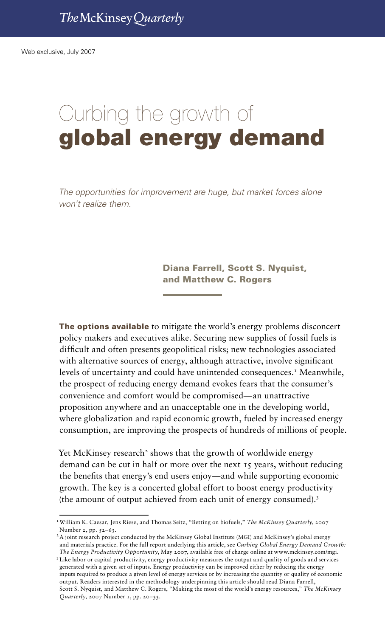# Curbing the growth of global energy demand

*The opportunities for improvement are huge, but market forces alone won't realize them.*

> Diana Farrell, Scott S. Nyquist, and Matthew C. Rogers

 $C_{\rm eff}$  the growth of global energy demands of global energy demands of global energy demands of  $\sigma$ 

**The options available** to mitigate the world's energy problems disconcert policy makers and executives alike. Securing new supplies of fossil fuels is difficult and often presents geopolitical risks; new technologies associated with alternative sources of energy, although attractive, involve significant levels of uncertainty and could have unintended consequences.<sup>1</sup> Meanwhile, the prospect of reducing energy demand evokes fears that the consumer's convenience and comfort would be compromised—an unattractive proposition anywhere and an unacceptable one in the developing world, where globalization and rapid economic growth, fueled by increased energy consumption, are improving the prospects of hundreds of millions of people.

Yet McKinsey research<sup>2</sup> shows that the growth of worldwide energy demand can be cut in half or more over the next 15 years, without reducing the benefits that energy's end users enjoy—and while supporting economic growth. The key is a concerted global effort to boost energy productivity (the amount of output achieved from each unit of energy consumed).3

<sup>1</sup>William K. Caesar, Jens Riese, and Thomas Seitz, "Betting on biofuels," *The McKinsey Quarterly*, 2007 Number 2, pp. 52–63.

<sup>2</sup>A joint research project conducted by the McKinsey Global Institute (MGI) and McKinsey's global energy and materials practice. For the full report underlying this article, see *Curbing Global Energy Demand Growth: The Energy Productivity Opportunity*, May 2007, available free of charge online at www.mckinsey.com/mgi.

<sup>3</sup>Like labor or capital productivity, energy productivity measures the output and quality of goods and services generated with a given set of inputs. Energy productivity can be improved either by reducing the energy inputs required to produce a given level of energy services or by increasing the quantity or quality of economic output. Readers interested in the methodology underpinning this article should read Diana Farrell, Scott S. Nyquist, and Matthew C. Rogers, "Making the most of the world's energy resources," *The McKinsey Quarterly*, 2007 Number 1, pp. 20–33.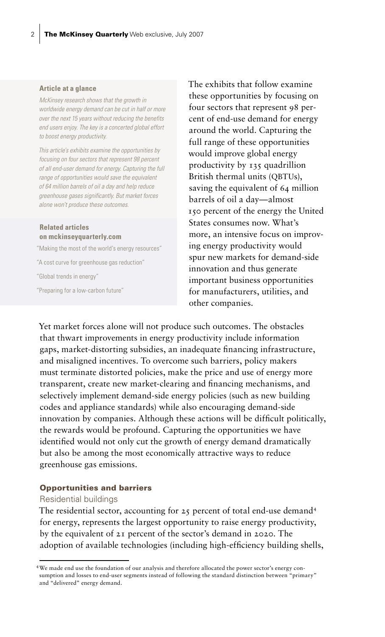## **Article at a glance**

*McKinsey research shows that the growth in worldwide energy demand can be cut in half or more over the next 15 years without reducing the benefits end users enjoy. The key is a concerted global effort to boost energy productivity.*

*This article's exhibits examine the opportunities by focusing on four sectors that represent 98 percent of all end-user demand for energy. Capturing the full range of opportunities would save the equivalent of 64 million barrels of oil a day and help reduce greenhouse gases significantly. But market forces alone won't produce these outcomes.*

## **Related articles on mckinseyquarterly.com**

"Making the most of the world's energy resources"

"A cost curve for greenhouse gas reduction"

"Global trends in energy"

"Preparing for a low-carbon future"

The exhibits that follow examine these opportunities by focusing on four sectors that represent 98 percent of end-use demand for energy around the world. Capturing the full range of these opportunities would improve global energy productivity by 135 quadrillion British thermal units (QBTUs), saving the equivalent of 64 million barrels of oil a day—almost 150 percent of the energy the United States consumes now. What's more, an intensive focus on improving energy productivity would spur new markets for demand-side innovation and thus generate important business opportunities for manufacturers, utilities, and other companies.

Yet market forces alone will not produce such outcomes. The obstacles that thwart improvements in energy productivity include information gaps, market-distorting subsidies, an inadequate financing infrastructure, and misaligned incentives. To overcome such barriers, policy makers must terminate distorted policies, make the price and use of energy more transparent, create new market-clearing and financing mechanisms, and selectively implement demand-side energy policies (such as new building codes and appliance standards) while also encouraging demand-side innovation by companies. Although these actions will be difficult politically, the rewards would be profound. Capturing the opportunities we have identified would not only cut the growth of energy demand dramatically but also be among the most economically attractive ways to reduce greenhouse gas emissions.

### Opportunities and barriers

#### Residential buildings

The residential sector, accounting for 25 percent of total end-use demand<sup>4</sup> for energy, represents the largest opportunity to raise energy productivity, by the equivalent of 21 percent of the sector's demand in 2020. The adoption of available technologies (including high-efficiency building shells,

<sup>4</sup>We made end use the foundation of our analysis and therefore allocated the power sector's energy consumption and losses to end-user segments instead of following the standard distinction between "primary" and "delivered" energy demand.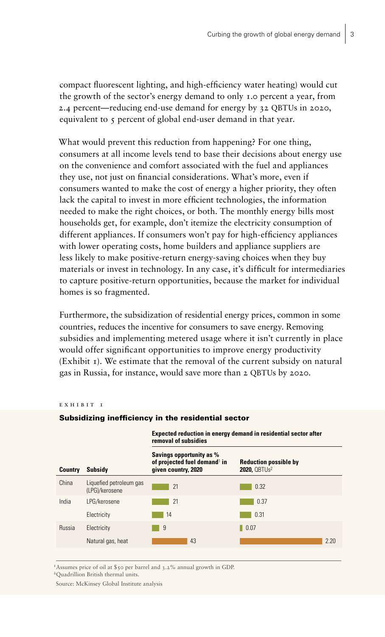compact fluorescent lighting, and high-efficiency water heating) would cut the growth of the sector's energy demand to only 1.0 percent a year, from 2.4 percent—reducing end-use demand for energy by 32 QBTUs in 2020, equivalent to 5 percent of global end-user demand in that year.

What would prevent this reduction from happening? For one thing, consumers at all income levels tend to base their decisions about energy use on the convenience and comfort associated with the fuel and appliances they use, not just on financial considerations. What's more, even if consumers wanted to make the cost of energy a higher priority, they often lack the capital to invest in more efficient technologies, the information needed to make the right choices, or both. The monthly energy bills most households get, for example, don't itemize the electricity consumption of different appliances. If consumers won't pay for high-efficiency appliances with lower operating costs, home builders and appliance suppliers are less likely to make positive-return energy-saving choices when they buy materials or invest in technology. In any case, it's difficult for intermediaries to capture positive-return opportunities, because the market for individual homes is so fragmented.

Furthermore, the subsidization of residential energy prices, common in some countries, reduces the incentive for consumers to save energy. Removing subsidies and implementing metered usage where it isn't currently in place would offer significant opportunities to improve energy productivity  $(Exhibit 1)$ . We estimate that the removal of the current subsidy on natural gas in Russia, for instance, would save more than 2 QBTUs by 2020.

|                |                                           | Expected reduction in energy demand in residential sector after<br>removal of subsidies     |                                                     |  |
|----------------|-------------------------------------------|---------------------------------------------------------------------------------------------|-----------------------------------------------------|--|
| <b>Country</b> | Subsidy                                   | Savings opportunity as %<br>of projected fuel demand <sup>1</sup> in<br>given country, 2020 | <b>Reduction possible by</b><br><b>2020. QBTUs2</b> |  |
| China          | Liquefied petroleum gas<br>(LPG)/kerosene | 21                                                                                          | 0.32                                                |  |
| India          | LPG/kerosene                              | 21                                                                                          | 0.37                                                |  |
|                | Electricity                               | 14                                                                                          | 0.31                                                |  |
| Russia         | Electricity                               | 9                                                                                           | $\parallel$ 0.07                                    |  |
|                | Natural gas, heat                         | 43                                                                                          | 2.20                                                |  |

#### E X H I B I T T

## Subsidizing inefficiency in the residential sector

<sup>1</sup>Assumes price of oil at  $\S$ 50 per barrel and 3.2% annual growth in GDP.

2Quadrillion British thermal units.

Source: McKinsey Global Institute analysis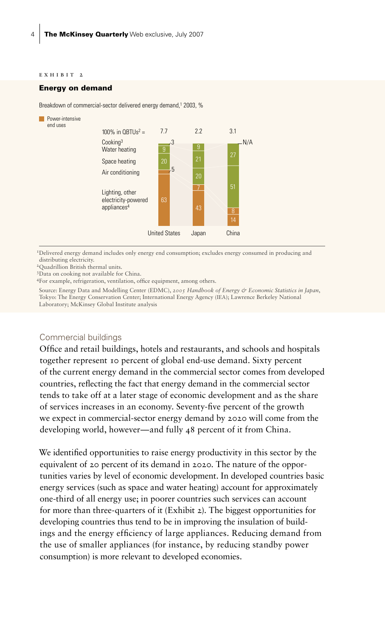**Exhibit title:** Opportunities vary

#### e x h i b i t 2

#### Energy on demand

Breakdown of commercial-sector delivered energy demand,<sup>1</sup> 2003, %



1Delivered energy demand includes only energy end consumption; excludes energy consumed in producing and distributing electricity.

2Quadrillion British thermal units.

3Data on cooking not available for China.

<sup>4</sup>For example, refrigeration, ventilation, office equipment, among others.

 Source: Energy Data and Modelling Center (EDMC), *2005 Handbook of Energy & Economic Statistics in Japan*, Tokyo: The Energy Conservation Center; International Energy Agency (IEA); Lawrence Berkeley National Laboratory; McKinsey Global Institute analysis

# Commercial buildings

Office and retail buildings, hotels and restaurants, and schools and hospitals together represent 10 percent of global end-use demand. Sixty percent of the current energy demand in the commercial sector comes from developed countries, reflecting the fact that energy demand in the commercial sector tends to take off at a later stage of economic development and as the share of services increases in an economy. Seventy-five percent of the growth we expect in commercial-sector energy demand by 2020 will come from the developing world, however—and fully 48 percent of it from China.

We identified opportunities to raise energy productivity in this sector by the equivalent of 20 percent of its demand in 2020. The nature of the opportunities varies by level of economic development. In developed countries basic energy services (such as space and water heating) account for approximately one-third of all energy use; in poorer countries such services can account for more than three-quarters of it (Exhibit 2). The biggest opportunities for developing countries thus tend to be in improving the insulation of buildings and the energy efficiency of large appliances. Reducing demand from the use of smaller appliances (for instance, by reducing standby power consumption) is more relevant to developed economies.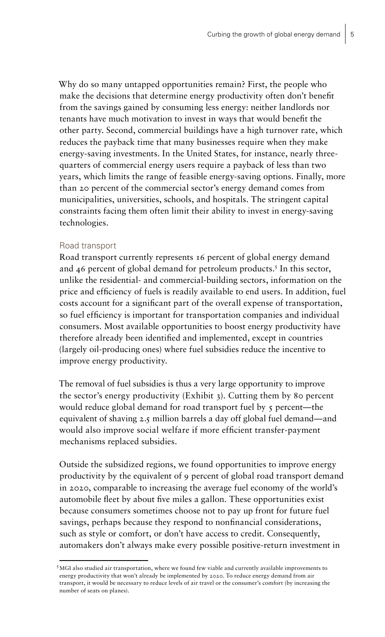Why do so many untapped opportunities remain? First, the people who make the decisions that determine energy productivity often don't benefit from the savings gained by consuming less energy: neither landlords nor tenants have much motivation to invest in ways that would benefit the other party. Second, commercial buildings have a high turnover rate, which reduces the payback time that many businesses require when they make energy-saving investments. In the United States, for instance, nearly threequarters of commercial energy users require a payback of less than two years, which limits the range of feasible energy-saving options. Finally, more than 20 percent of the commercial sector's energy demand comes from municipalities, universities, schools, and hospitals. The stringent capital constraints facing them often limit their ability to invest in energy-saving technologies.

# Road transport

Road transport currently represents 16 percent of global energy demand and 46 percent of global demand for petroleum products.<sup>5</sup> In this sector, unlike the residential- and commercial-building sectors, information on the price and efficiency of fuels is readily available to end users. In addition, fuel costs account for a significant part of the overall expense of transportation, so fuel efficiency is important for transportation companies and individual consumers. Most available opportunities to boost energy productivity have therefore already been identified and implemented, except in countries (largely oil-producing ones) where fuel subsidies reduce the incentive to improve energy productivity.

The removal of fuel subsidies is thus a very large opportunity to improve the sector's energy productivity (Exhibit 3). Cutting them by 80 percent would reduce global demand for road transport fuel by 5 percent-the equivalent of shaving 2.5 million barrels a day off global fuel demand—and would also improve social welfare if more efficient transfer-payment mechanisms replaced subsidies.

Outside the subsidized regions, we found opportunities to improve energy productivity by the equivalent of 9 percent of global road transport demand in 2020, comparable to increasing the average fuel economy of the world's automobile fleet by about five miles a gallon. These opportunities exist because consumers sometimes choose not to pay up front for future fuel savings, perhaps because they respond to nonfinancial considerations, such as style or comfort, or don't have access to credit. Consequently, automakers don't always make every possible positive-return investment in

<sup>5</sup>MGI also studied air transportation, where we found few viable and currently available improvements to energy productivity that won't already be implemented by 2020. To reduce energy demand from air transport, it would be necessary to reduce levels of air travel or the consumer's comfort (by increasing the number of seats on planes).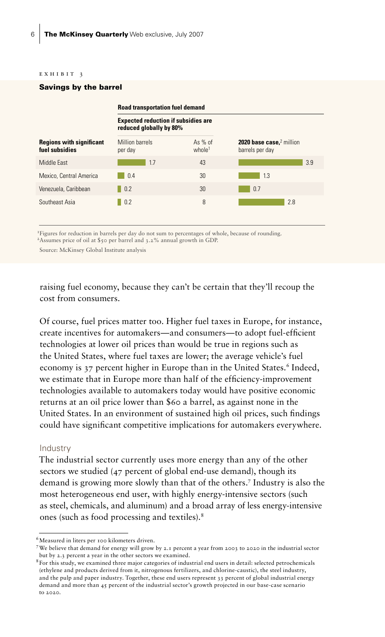#### $E$  X H I B I T 3

# Savings by the barrel

|                                                   | <b>Road transportation fuel demand</b>                                |                                 |                                                                |  |  |  |
|---------------------------------------------------|-----------------------------------------------------------------------|---------------------------------|----------------------------------------------------------------|--|--|--|
|                                                   | <b>Expected reduction if subsidies are</b><br>reduced globally by 80% |                                 |                                                                |  |  |  |
| <b>Regions with significant</b><br>fuel subsidies | Million barrels<br>per day                                            | As $%$ of<br>while <sup>1</sup> | <b>2020 base case.</b> <sup>2</sup> million<br>barrels per day |  |  |  |
| Middle East                                       | 1.7                                                                   | 43                              | 3.9                                                            |  |  |  |
| Mexico, Central America                           | 0.4                                                                   | 30                              | 1.3                                                            |  |  |  |
| Venezuela, Caribbean                              | $\parallel$ 0.2                                                       | 30                              | 0.7                                                            |  |  |  |
| Southeast Asia                                    | $\parallel$ 0.2                                                       | 8                               | 2.8                                                            |  |  |  |

1Figures for reduction in barrels per day do not sum to percentages of whole, because of rounding.

2Assumes price of oil at \$50 per barrel and 3.2% annual growth in GDP.

Source: McKinsey Global Institute analysis

raising fuel economy, because they can't be certain that they'll recoup the cost from consumers.

Of course, fuel prices matter too. Higher fuel taxes in Europe, for instance, create incentives for automakers—and consumers—to adopt fuel-efficient technologies at lower oil prices than would be true in regions such as the United States, where fuel taxes are lower; the average vehicle's fuel economy is 37 percent higher in Europe than in the United States.<sup>6</sup> Indeed, we estimate that in Europe more than half of the efficiency-improvement technologies available to automakers today would have positive economic returns at an oil price lower than \$60 a barrel, as against none in the United States. In an environment of sustained high oil prices, such findings could have significant competitive implications for automakers everywhere.

# Industry

The industrial sector currently uses more energy than any of the other sectors we studied (47 percent of global end-use demand), though its demand is growing more slowly than that of the others.7 Industry is also the most heterogeneous end user, with highly energy-intensive sectors (such as steel, chemicals, and aluminum) and a broad array of less energy-intensive ones (such as food processing and textiles).8

<sup>6</sup>Measured in liters per 100 kilometers driven.

<sup>7</sup>We believe that demand for energy will grow by 2.1 percent a year from 2003 to 2020 in the industrial sector but by 2.3 percent a year in the other sectors we examined.

<sup>8</sup>For this study, we examined three major categories of industrial end users in detail: selected petrochemicals (ethylene and products derived from it, nitrogenous fertilizers, and chlorine-caustic), the steel industry, and the pulp and paper industry. Together, these end users represent 33 percent of global industrial energy demand and more than 45 percent of the industrial sector's growth projected in our base-case scenario to 2020.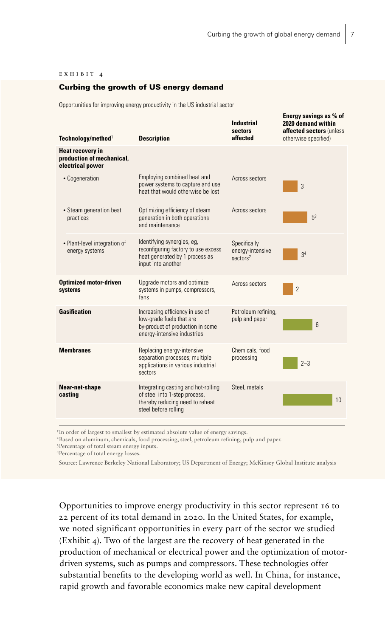#### e x h i b i t 4

# Curbing the growth of US energy demand

Opportunities for improving energy productivity in the US industrial sector

| Technology/method <sup>1</sup>                                           | <b>Description</b>                                                                                                              | <b>Industrial</b><br>sectors<br>affected                 | Energy savings as % of<br>2020 demand within<br>affected sectors (unless<br>otherwise specified) |
|--------------------------------------------------------------------------|---------------------------------------------------------------------------------------------------------------------------------|----------------------------------------------------------|--------------------------------------------------------------------------------------------------|
| <b>Heat recovery in</b><br>production of mechanical,<br>electrical power |                                                                                                                                 |                                                          |                                                                                                  |
| • Cogeneration                                                           | Employing combined heat and<br>power systems to capture and use<br>heat that would otherwise be lost                            | Across sectors                                           | 3                                                                                                |
| • Steam generation best<br>practices                                     | Optimizing efficiency of steam<br>generation in both operations<br>and maintenance                                              | Across sectors                                           | 5 <sup>3</sup>                                                                                   |
| • Plant-level integration of<br>energy systems                           | Identifying synergies, eg,<br>reconfiguring factory to use excess<br>heat generated by 1 process as<br>input into another       | Specifically<br>energy-intensive<br>sectors <sup>2</sup> | 3 <sup>4</sup>                                                                                   |
| <b>Optimized motor-driven</b><br>systems                                 | Upgrade motors and optimize<br>systems in pumps, compressors,<br>fans                                                           | Across sectors                                           | $\overline{2}$                                                                                   |
| <b>Gasification</b>                                                      | Increasing efficiency in use of<br>low-grade fuels that are<br>by-product of production in some<br>energy-intensive industries  | Petroleum refining,<br>pulp and paper                    | 6                                                                                                |
| <b>Membranes</b>                                                         | Replacing energy-intensive<br>separation processes; multiple<br>applications in various industrial<br>sectors                   | Chemicals, food<br>processing                            | $2 - 3$                                                                                          |
| Near-net-shape<br>casting                                                | Integrating casting and hot-rolling<br>of steel into 1-step process,<br>thereby reducing need to reheat<br>steel before rolling | Steel, metals                                            | 10                                                                                               |
|                                                                          |                                                                                                                                 |                                                          |                                                                                                  |

<sup>1</sup>In order of largest to smallest by estimated absolute value of energy savings.

<sup>2</sup>Based on aluminum, chemicals, food processing, steel, petroleum refining, pulp and paper.

3Percentage of total steam energy inputs.

4Percentage of total energy losses.

Source: Lawrence Berkeley National Laboratory; US Department of Energy; McKinsey Global Institute analysis

Opportunities to improve energy productivity in this sector represent 16 to 22 percent of its total demand in 2020. In the United States, for example, we noted significant opportunities in every part of the sector we studied (Exhibit 4). Two of the largest are the recovery of heat generated in the production of mechanical or electrical power and the optimization of motordriven systems, such as pumps and compressors. These technologies offer substantial benefits to the developing world as well. In China, for instance, rapid growth and favorable economics make new capital development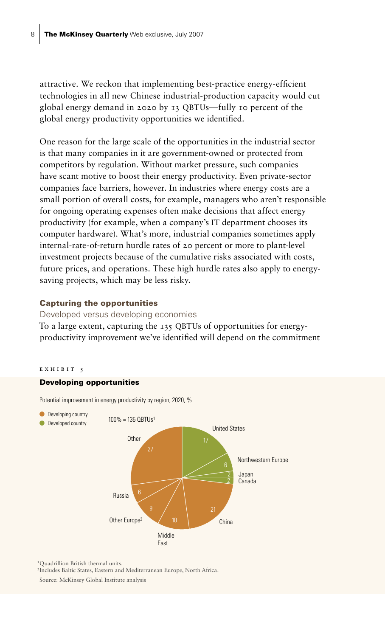attractive. We reckon that implementing best-practice energy-efficient technologies in all new Chinese industrial-production capacity would cut global energy demand in 2020 by 13 QBTUs—fully 10 percent of the global energy productivity opportunities we identified.

One reason for the large scale of the opportunities in the industrial sector is that many companies in it are government-owned or protected from competitors by regulation. Without market pressure, such companies have scant motive to boost their energy productivity. Even private-sector companies face barriers, however. In industries where energy costs are a small portion of overall costs, for example, managers who aren't responsible for ongoing operating expenses often make decisions that affect energy productivity (for example, when a company's IT department chooses its computer hardware). What's more, industrial companies sometimes apply internal-rate-of-return hurdle rates of 20 percent or more to plant-level investment projects because of the cumulative risks associated with costs, future prices, and operations. These high hurdle rates also apply to energysaving projects, which may be less risky. rature pin

# Capturing the opportunities **represent and the opportunities**

**Developed versus developing economies** Bovoloped versus developing occhomics<br>To a large extent, capturing the 135 QBTUs of opportunities for energyproductivity improvement we've identified will depend on the commitment

#### $E$  X H I B I T 5

#### Developing opportunities

Potential improvement in energy productivity by region, 2020, %



<sup>1</sup>Ouadrillion British thermal units.

2Includes Baltic States, Eastern and Mediterranean Europe, North Africa.

Source: McKinsey Global Institute analysis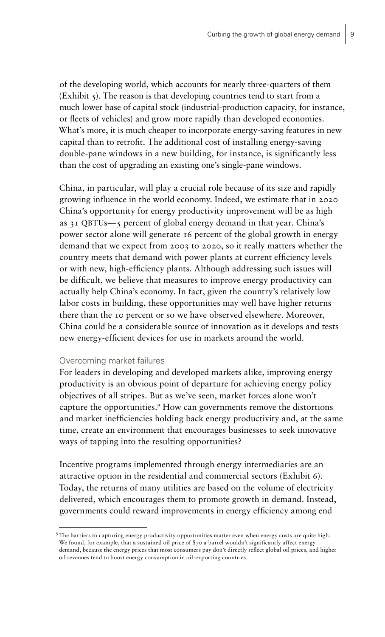of the developing world, which accounts for nearly three-quarters of them (Exhibit  $\varsigma$ ). The reason is that developing countries tend to start from a much lower base of capital stock (industrial-production capacity, for instance, or fleets of vehicles) and grow more rapidly than developed economies. What's more, it is much cheaper to incorporate energy-saving features in new capital than to retrofit. The additional cost of installing energy-saving double-pane windows in a new building, for instance, is significantly less than the cost of upgrading an existing one's single-pane windows.

China, in particular, will play a crucial role because of its size and rapidly growing influence in the world economy. Indeed, we estimate that in 2020 China's opportunity for energy productivity improvement will be as high as 31 QBTUs—5 percent of global energy demand in that year. China's power sector alone will generate 16 percent of the global growth in energy demand that we expect from 2003 to 2020, so it really matters whether the country meets that demand with power plants at current efficiency levels or with new, high-efficiency plants. Although addressing such issues will be difficult, we believe that measures to improve energy productivity can actually help China's economy. In fact, given the country's relatively low labor costs in building, these opportunities may well have higher returns there than the 10 percent or so we have observed elsewhere. Moreover, China could be a considerable source of innovation as it develops and tests new energy-efficient devices for use in markets around the world.

# Overcoming market failures

For leaders in developing and developed markets alike, improving energy productivity is an obvious point of departure for achieving energy policy objectives of all stripes. But as we've seen, market forces alone won't capture the opportunities.<sup>9</sup> How can governments remove the distortions and market inefficiencies holding back energy productivity and, at the same time, create an environment that encourages businesses to seek innovative ways of tapping into the resulting opportunities?

Incentive programs implemented through energy intermediaries are an attractive option in the residential and commercial sectors (Exhibit 6). Today, the returns of many utilities are based on the volume of electricity delivered, which encourages them to promote growth in demand. Instead, governments could reward improvements in energy efficiency among end

 $9$ The barriers to capturing energy productivity opportunities matter even when energy costs are quite high. We found, for example, that a sustained oil price of \$70 a barrel wouldn't significantly affect energy demand, because the energy prices that most consumers pay don't directly reflect global oil prices, and higher oil revenues tend to boost energy consumption in oil-exporting countries.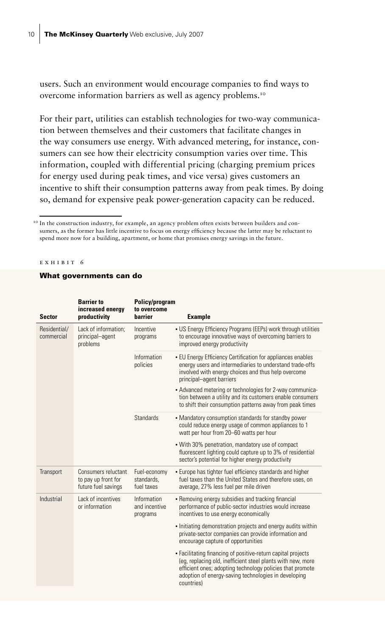users. Such an environment would encourage companies to find ways to overcome information barriers as well as agency problems.10

For their part, utilities can establish technologies for two-way communication between themselves and their customers that facilitate changes in the way consumers use energy. With advanced metering, for instance, consumers can see how their electricity consumption varies over time. This information, coupled with differential pricing (charging premium prices for energy used during peak times, and vice versa) gives customers an incentive to shift their consumption patterns away from peak times. By doing so, demand for expensive peak power-generation capacity can be reduced.

#### e x h i b i t 6

market in de la provincie en la provincie en la provincie en la provincie en la provincie en la provincie en l<br>En la provincie en la provincie en la provincie en la provincie en la provincie en la provincie en la provinci

#### What governments can do

| <b>Sector</b>              | <b>Barrier to</b><br>increased energy<br>productivity             | <b>Policy/program</b><br>to overcome<br>barrier | <b>Example</b>                                                                                                                                                                                                                                                 |
|----------------------------|-------------------------------------------------------------------|-------------------------------------------------|----------------------------------------------------------------------------------------------------------------------------------------------------------------------------------------------------------------------------------------------------------------|
| Residential/<br>commercial | Lack of information:<br>principal-agent<br>problems               | Incentive<br>programs                           | • US Energy Efficiency Programs (EEPs) work through utilities<br>to encourage innovative ways of overcoming barriers to<br>improved energy productivity                                                                                                        |
|                            |                                                                   | Information<br>policies                         | • EU Energy Efficiency Certification for appliances enables<br>energy users and intermediaries to understand trade-offs<br>involved with energy choices and thus help overcome<br>principal-agent barriers                                                     |
|                            |                                                                   |                                                 | • Advanced metering or technologies for 2-way communica-<br>tion between a utility and its customers enable consumers<br>to shift their consumption patterns away from peak times                                                                              |
|                            |                                                                   | <b>Standards</b>                                | • Mandatory consumption standards for standby power<br>could reduce energy usage of common appliances to 1<br>watt per hour from 20-60 watts per hour                                                                                                          |
|                            |                                                                   |                                                 | • With 30% penetration, mandatory use of compact<br>fluorescent lighting could capture up to 3% of residential<br>sector's potential for higher energy productivity                                                                                            |
| Transport                  | Consumers reluctant<br>to pay up front for<br>future fuel savings | Fuel-economy<br>standards.<br>fuel taxes        | • Europe has tighter fuel efficiency standards and higher<br>fuel taxes than the United States and therefore uses, on<br>average, 27% less fuel per mile driven                                                                                                |
| Industrial                 | Lack of incentives<br>or information                              | Information<br>and incentive<br>programs        | • Removing energy subsidies and tracking financial<br>performance of public-sector industries would increase<br>incentives to use energy economically                                                                                                          |
|                            |                                                                   |                                                 | • Initiating demonstration projects and energy audits within<br>private-sector companies can provide information and<br>encourage capture of opportunities                                                                                                     |
|                            |                                                                   |                                                 | • Facilitating financing of positive-return capital projects<br>(eg, replacing old, inefficient steel plants with new, more<br>efficient ones; adopting technology policies that promote<br>adoption of energy-saving technologies in developing<br>countries) |

<sup>&</sup>lt;sup>10</sup> In the construction industry, for example, an agency problem often exists between builders and consumers, as the former has little incentive to focus on energy efficiency because the latter may be reluctant to spend more now for a building, apartment, or home that promises energy savings in the future.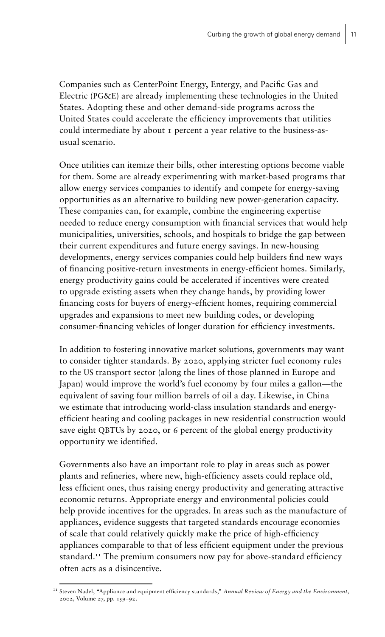Companies such as CenterPoint Energy, Entergy, and Pacific Gas and Electric (PG&E) are already implementing these technologies in the United States. Adopting these and other demand-side programs across the United States could accelerate the efficiency improvements that utilities could intermediate by about 1 percent a year relative to the business-asusual scenario.

Once utilities can itemize their bills, other interesting options become viable for them. Some are already experimenting with market-based programs that allow energy services companies to identify and compete for energy-saving opportunities as an alternative to building new power-generation capacity. These companies can, for example, combine the engineering expertise needed to reduce energy consumption with financial services that would help municipalities, universities, schools, and hospitals to bridge the gap between their current expenditures and future energy savings. In new-housing developments, energy services companies could help builders find new ways of financing positive-return investments in energy-efficient homes. Similarly, energy productivity gains could be accelerated if incentives were created to upgrade existing assets when they change hands, by providing lower financing costs for buyers of energy-efficient homes, requiring commercial upgrades and expansions to meet new building codes, or developing consumer-financing vehicles of longer duration for efficiency investments.

In addition to fostering innovative market solutions, governments may want to consider tighter standards. By 2020, applying stricter fuel economy rules to the US transport sector (along the lines of those planned in Europe and Japan) would improve the world's fuel economy by four miles a gallon—the equivalent of saving four million barrels of oil a day. Likewise, in China we estimate that introducing world-class insulation standards and energyefficient heating and cooling packages in new residential construction would save eight QBTUs by 2020, or 6 percent of the global energy productivity opportunity we identified.

Governments also have an important role to play in areas such as power plants and refineries, where new, high-efficiency assets could replace old, less efficient ones, thus raising energy productivity and generating attractive economic returns. Appropriate energy and environmental policies could help provide incentives for the upgrades. In areas such as the manufacture of appliances, evidence suggests that targeted standards encourage economies of scale that could relatively quickly make the price of high-efficiency appliances comparable to that of less efficient equipment under the previous standard.<sup>11</sup> The premium consumers now pay for above-standard efficiency often acts as a disincentive.

<sup>&</sup>lt;sup>11</sup> Steven Nadel, "Appliance and equipment efficiency standards," Annual Review of Energy and the Environment, 2002, Volume 27, pp. 159–92.